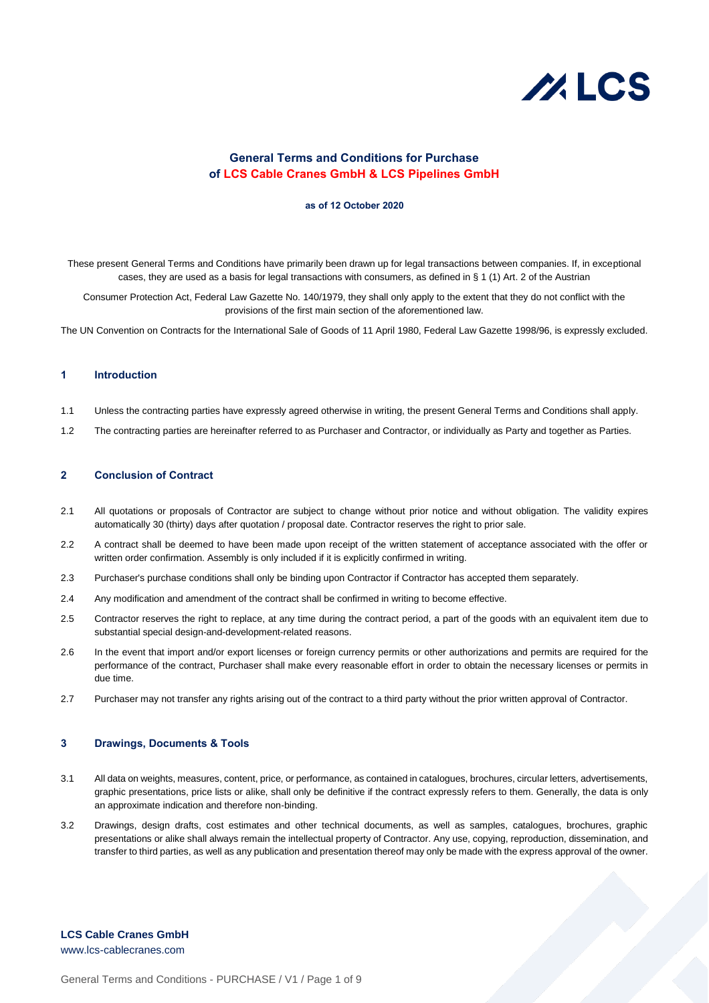# $\mathcal{U}$ . LCS

# **General Terms and Conditions for Purchase of LCS Cable Cranes GmbH & LCS Pipelines GmbH**

#### **as of 12 October 2020**

These present General Terms and Conditions have primarily been drawn up for legal transactions between companies. If, in exceptional cases, they are used as a basis for legal transactions with consumers, as defined in § 1 (1) Art. 2 of the Austrian

Consumer Protection Act, Federal Law Gazette No. 140/1979, they shall only apply to the extent that they do not conflict with the provisions of the first main section of the aforementioned law.

The UN Convention on Contracts for the International Sale of Goods of 11 April 1980, Federal Law Gazette 1998/96, is expressly excluded.

# **1 Introduction**

- 1.1 Unless the contracting parties have expressly agreed otherwise in writing, the present General Terms and Conditions shall apply.
- 1.2 The contracting parties are hereinafter referred to as Purchaser and Contractor, or individually as Party and together as Parties.

# **2 Conclusion of Contract**

- 2.1 All quotations or proposals of Contractor are subject to change without prior notice and without obligation. The validity expires automatically 30 (thirty) days after quotation / proposal date. Contractor reserves the right to prior sale.
- 2.2 A contract shall be deemed to have been made upon receipt of the written statement of acceptance associated with the offer or written order confirmation. Assembly is only included if it is explicitly confirmed in writing.
- 2.3 Purchaser's purchase conditions shall only be binding upon Contractor if Contractor has accepted them separately.
- 2.4 Any modification and amendment of the contract shall be confirmed in writing to become effective.
- 2.5 Contractor reserves the right to replace, at any time during the contract period, a part of the goods with an equivalent item due to substantial special design-and-development-related reasons.
- 2.6 In the event that import and/or export licenses or foreign currency permits or other authorizations and permits are required for the performance of the contract, Purchaser shall make every reasonable effort in order to obtain the necessary licenses or permits in due time.
- 2.7 Purchaser may not transfer any rights arising out of the contract to a third party without the prior written approval of Contractor.

#### **3 Drawings, Documents & Tools**

- 3.1 All data on weights, measures, content, price, or performance, as contained in catalogues, brochures, circular letters, advertisements, graphic presentations, price lists or alike, shall only be definitive if the contract expressly refers to them. Generally, the data is only an approximate indication and therefore non-binding.
- 3.2 Drawings, design drafts, cost estimates and other technical documents, as well as samples, catalogues, brochures, graphic presentations or alike shall always remain the intellectual property of Contractor. Any use, copying, reproduction, dissemination, and transfer to third parties, as well as any publication and presentation thereof may only be made with the express approval of the owner.

# **LCS Cable Cranes GmbH**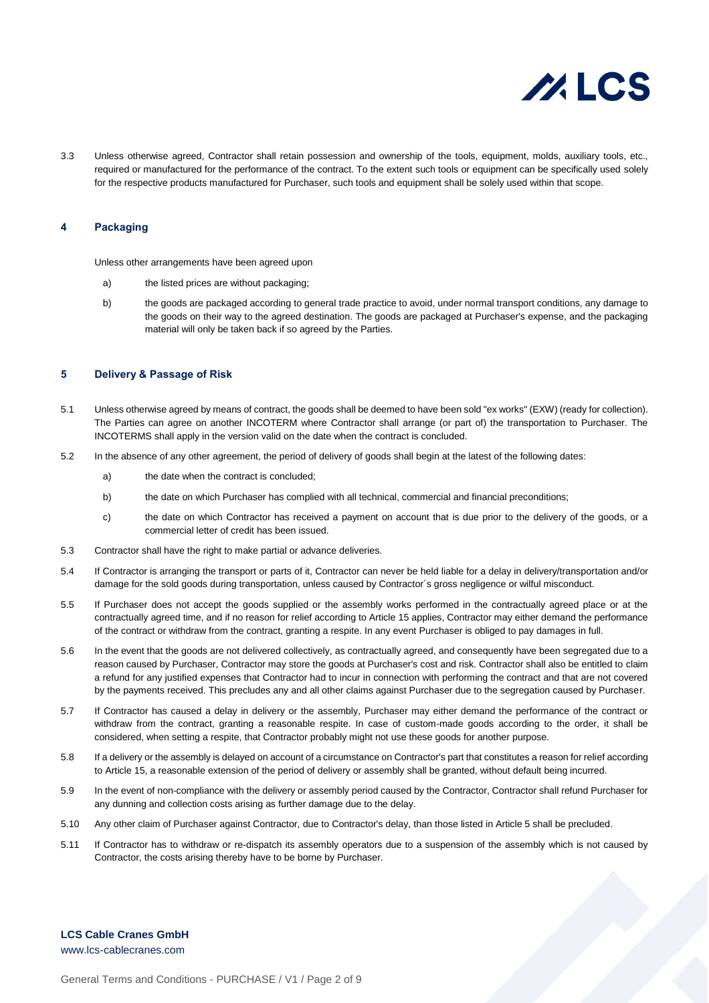

3.3 Unless otherwise agreed, Contractor shall retain possession and ownership of the tools, equipment, molds, auxiliary tools, etc., required or manufactured for the performance of the contract. To the extent such tools or equipment can be specifically used solely for the respective products manufactured for Purchaser, such tools and equipment shall be solely used within that scope.

## **4 Packaging**

Unless other arrangements have been agreed upon

- a) the listed prices are without packaging;
- b) the goods are packaged according to general trade practice to avoid, under normal transport conditions, any damage to the goods on their way to the agreed destination. The goods are packaged at Purchaser's expense, and the packaging material will only be taken back if so agreed by the Parties.

#### **5 Delivery & Passage of Risk**

- 5.1 Unless otherwise agreed by means of contract, the goods shall be deemed to have been sold "ex works" (EXW) (ready for collection). The Parties can agree on another INCOTERM where Contractor shall arrange (or part of) the transportation to Purchaser. The INCOTERMS shall apply in the version valid on the date when the contract is concluded.
- 5.2 In the absence of any other agreement, the period of delivery of goods shall begin at the latest of the following dates:
	- a) the date when the contract is concluded;
	- b) the date on which Purchaser has complied with all technical, commercial and financial preconditions;
	- c) the date on which Contractor has received a payment on account that is due prior to the delivery of the goods, or a commercial letter of credit has been issued.
- 5.3 Contractor shall have the right to make partial or advance deliveries.
- 5.4 If Contractor is arranging the transport or parts of it, Contractor can never be held liable for a delay in delivery/transportation and/or damage for the sold goods during transportation, unless caused by Contractor´s gross negligence or wilful misconduct.
- 5.5 If Purchaser does not accept the goods supplied or the assembly works performed in the contractually agreed place or at the contractually agreed time, and if no reason for relief according to Article 15 applies, Contractor may either demand the performance of the contract or withdraw from the contract, granting a respite. In any event Purchaser is obliged to pay damages in full.
- 5.6 In the event that the goods are not delivered collectively, as contractually agreed, and consequently have been segregated due to a reason caused by Purchaser, Contractor may store the goods at Purchaser's cost and risk. Contractor shall also be entitled to claim a refund for any justified expenses that Contractor had to incur in connection with performing the contract and that are not covered by the payments received. This precludes any and all other claims against Purchaser due to the segregation caused by Purchaser.
- 5.7 If Contractor has caused a delay in delivery or the assembly, Purchaser may either demand the performance of the contract or withdraw from the contract, granting a reasonable respite. In case of custom-made goods according to the order, it shall be considered, when setting a respite, that Contractor probably might not use these goods for another purpose.
- 5.8 If a delivery or the assembly is delayed on account of a circumstance on Contractor's part that constitutes a reason for relief according to Article 15, a reasonable extension of the period of delivery or assembly shall be granted, without default being incurred.
- 5.9 In the event of non-compliance with the delivery or assembly period caused by the Contractor, Contractor shall refund Purchaser for any dunning and collection costs arising as further damage due to the delay.
- 5.10 Any other claim of Purchaser against Contractor, due to Contractor's delay, than those listed in Article 5 shall be precluded.
- 5.11 If Contractor has to withdraw or re-dispatch its assembly operators due to a suspension of the assembly which is not caused by Contractor, the costs arising thereby have to be borne by Purchaser.

# **LCS Cable Cranes GmbH** www.lcs-cablecranes.com

General Terms and Conditions - PURCHASE / V1 / Page 2 of 9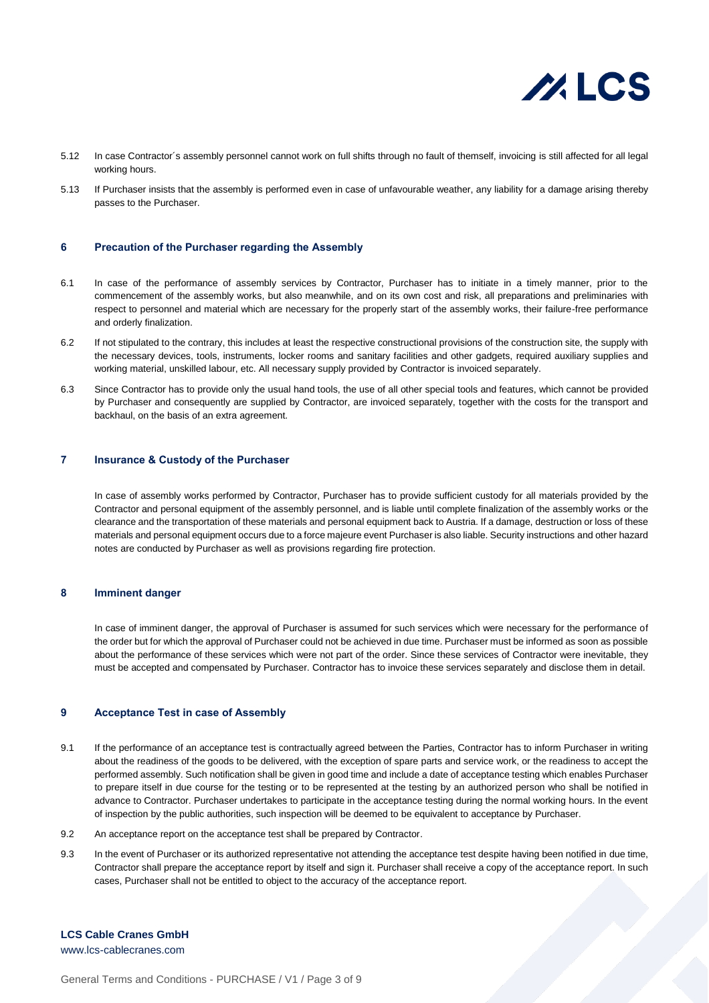

- 5.12 In case Contractor´s assembly personnel cannot work on full shifts through no fault of themself, invoicing is still affected for all legal working hours.
- 5.13 If Purchaser insists that the assembly is performed even in case of unfavourable weather, any liability for a damage arising thereby passes to the Purchaser.

#### **6 Precaution of the Purchaser regarding the Assembly**

- 6.1 In case of the performance of assembly services by Contractor, Purchaser has to initiate in a timely manner, prior to the commencement of the assembly works, but also meanwhile, and on its own cost and risk, all preparations and preliminaries with respect to personnel and material which are necessary for the properly start of the assembly works, their failure-free performance and orderly finalization.
- 6.2 If not stipulated to the contrary, this includes at least the respective constructional provisions of the construction site, the supply with the necessary devices, tools, instruments, locker rooms and sanitary facilities and other gadgets, required auxiliary supplies and working material, unskilled labour, etc. All necessary supply provided by Contractor is invoiced separately.
- 6.3 Since Contractor has to provide only the usual hand tools, the use of all other special tools and features, which cannot be provided by Purchaser and consequently are supplied by Contractor, are invoiced separately, together with the costs for the transport and backhaul, on the basis of an extra agreement.

## **7 Insurance & Custody of the Purchaser**

In case of assembly works performed by Contractor, Purchaser has to provide sufficient custody for all materials provided by the Contractor and personal equipment of the assembly personnel, and is liable until complete finalization of the assembly works or the clearance and the transportation of these materials and personal equipment back to Austria. If a damage, destruction or loss of these materials and personal equipment occurs due to a force majeure event Purchaser is also liable. Security instructions and other hazard notes are conducted by Purchaser as well as provisions regarding fire protection.

# **8 Imminent danger**

In case of imminent danger, the approval of Purchaser is assumed for such services which were necessary for the performance of the order but for which the approval of Purchaser could not be achieved in due time. Purchaser must be informed as soon as possible about the performance of these services which were not part of the order. Since these services of Contractor were inevitable, they must be accepted and compensated by Purchaser. Contractor has to invoice these services separately and disclose them in detail.

## **9 Acceptance Test in case of Assembly**

- 9.1 If the performance of an acceptance test is contractually agreed between the Parties, Contractor has to inform Purchaser in writing about the readiness of the goods to be delivered, with the exception of spare parts and service work, or the readiness to accept the performed assembly. Such notification shall be given in good time and include a date of acceptance testing which enables Purchaser to prepare itself in due course for the testing or to be represented at the testing by an authorized person who shall be notified in advance to Contractor. Purchaser undertakes to participate in the acceptance testing during the normal working hours. In the event of inspection by the public authorities, such inspection will be deemed to be equivalent to acceptance by Purchaser.
- 9.2 An acceptance report on the acceptance test shall be prepared by Contractor.
- 9.3 In the event of Purchaser or its authorized representative not attending the acceptance test despite having been notified in due time, Contractor shall prepare the acceptance report by itself and sign it. Purchaser shall receive a copy of the acceptance report. In such cases, Purchaser shall not be entitled to object to the accuracy of the acceptance report.

**LCS Cable Cranes GmbH**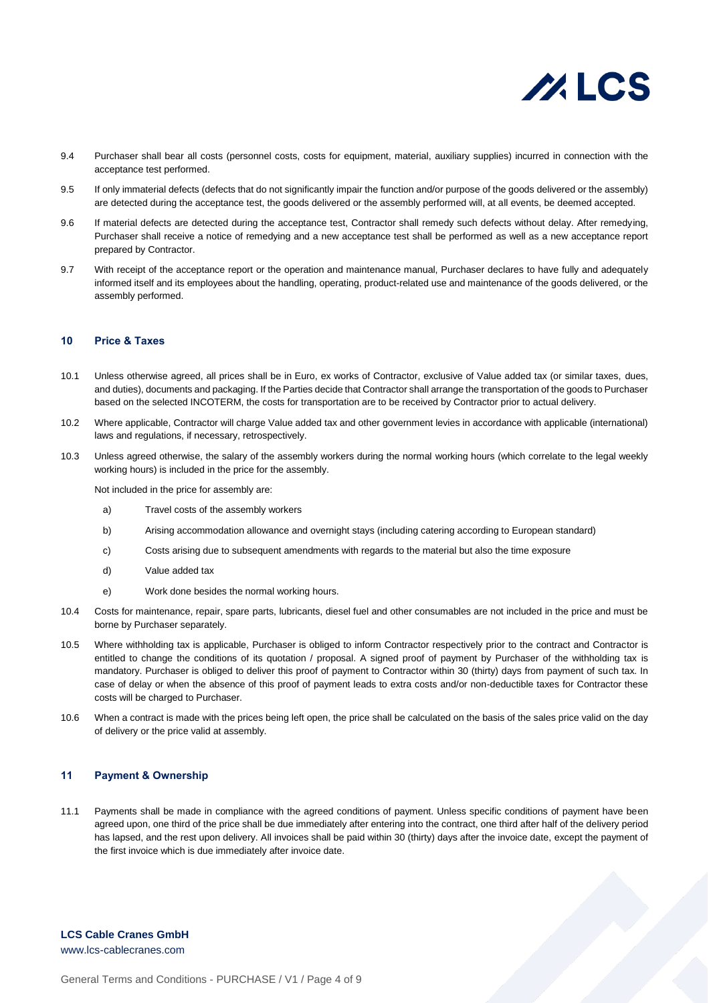

- 9.4 Purchaser shall bear all costs (personnel costs, costs for equipment, material, auxiliary supplies) incurred in connection with the acceptance test performed.
- 9.5 If only immaterial defects (defects that do not significantly impair the function and/or purpose of the goods delivered or the assembly) are detected during the acceptance test, the goods delivered or the assembly performed will, at all events, be deemed accepted.
- 9.6 If material defects are detected during the acceptance test, Contractor shall remedy such defects without delay. After remedying, Purchaser shall receive a notice of remedying and a new acceptance test shall be performed as well as a new acceptance report prepared by Contractor.
- 9.7 With receipt of the acceptance report or the operation and maintenance manual, Purchaser declares to have fully and adequately informed itself and its employees about the handling, operating, product-related use and maintenance of the goods delivered, or the assembly performed.

#### **10 Price & Taxes**

- 10.1 Unless otherwise agreed, all prices shall be in Euro, ex works of Contractor, exclusive of Value added tax (or similar taxes, dues, and duties), documents and packaging. If the Parties decide that Contractor shall arrange the transportation of the goods to Purchaser based on the selected INCOTERM, the costs for transportation are to be received by Contractor prior to actual delivery.
- 10.2 Where applicable, Contractor will charge Value added tax and other government levies in accordance with applicable (international) laws and regulations, if necessary, retrospectively.
- 10.3 Unless agreed otherwise, the salary of the assembly workers during the normal working hours (which correlate to the legal weekly working hours) is included in the price for the assembly.

Not included in the price for assembly are:

- a) Travel costs of the assembly workers
- b) Arising accommodation allowance and overnight stays (including catering according to European standard)
- c) Costs arising due to subsequent amendments with regards to the material but also the time exposure
- d) Value added tax
- e) Work done besides the normal working hours.
- 10.4 Costs for maintenance, repair, spare parts, lubricants, diesel fuel and other consumables are not included in the price and must be borne by Purchaser separately.
- 10.5 Where withholding tax is applicable, Purchaser is obliged to inform Contractor respectively prior to the contract and Contractor is entitled to change the conditions of its quotation / proposal. A signed proof of payment by Purchaser of the withholding tax is mandatory. Purchaser is obliged to deliver this proof of payment to Contractor within 30 (thirty) days from payment of such tax. In case of delay or when the absence of this proof of payment leads to extra costs and/or non-deductible taxes for Contractor these costs will be charged to Purchaser.
- 10.6 When a contract is made with the prices being left open, the price shall be calculated on the basis of the sales price valid on the day of delivery or the price valid at assembly.

# **11 Payment & Ownership**

11.1 Payments shall be made in compliance with the agreed conditions of payment. Unless specific conditions of payment have been agreed upon, one third of the price shall be due immediately after entering into the contract, one third after half of the delivery period has lapsed, and the rest upon delivery. All invoices shall be paid within 30 (thirty) days after the invoice date, except the payment of the first invoice which is due immediately after invoice date.

# **LCS Cable Cranes GmbH**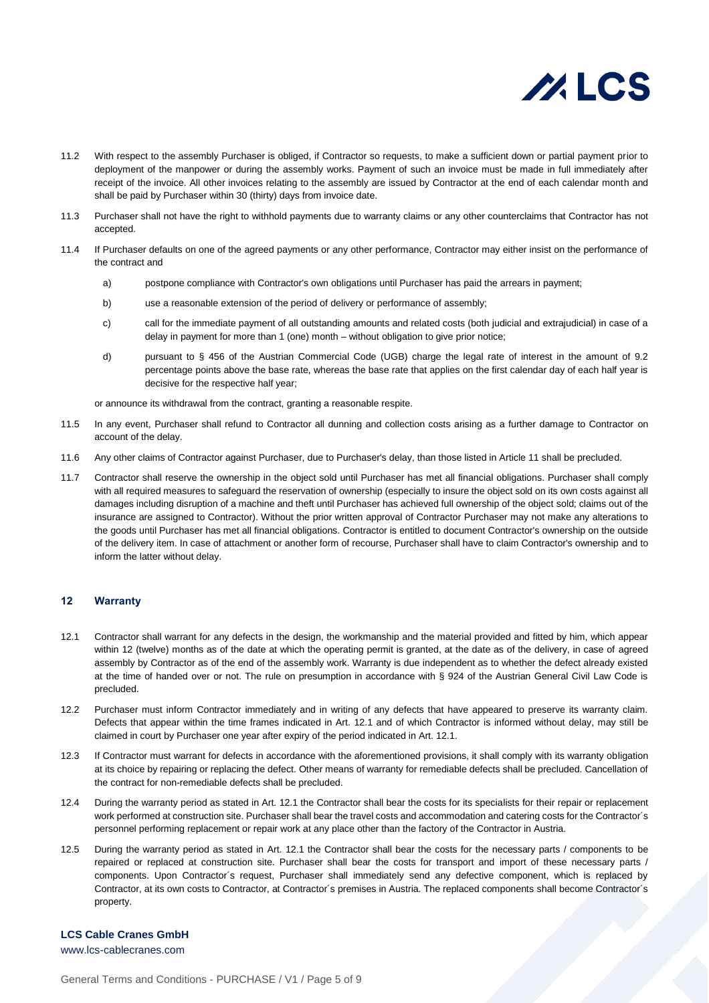

- 11.2 With respect to the assembly Purchaser is obliged, if Contractor so requests, to make a sufficient down or partial payment prior to deployment of the manpower or during the assembly works. Payment of such an invoice must be made in full immediately after receipt of the invoice. All other invoices relating to the assembly are issued by Contractor at the end of each calendar month and shall be paid by Purchaser within 30 (thirty) days from invoice date.
- 11.3 Purchaser shall not have the right to withhold payments due to warranty claims or any other counterclaims that Contractor has not accepted.
- 11.4 If Purchaser defaults on one of the agreed payments or any other performance, Contractor may either insist on the performance of the contract and
	- a) postpone compliance with Contractor's own obligations until Purchaser has paid the arrears in payment;
	- b) use a reasonable extension of the period of delivery or performance of assembly;
	- c) call for the immediate payment of all outstanding amounts and related costs (both judicial and extrajudicial) in case of a delay in payment for more than 1 (one) month – without obligation to give prior notice;
	- d) pursuant to § 456 of the Austrian Commercial Code (UGB) charge the legal rate of interest in the amount of 9.2 percentage points above the base rate, whereas the base rate that applies on the first calendar day of each half year is decisive for the respective half year;

or announce its withdrawal from the contract, granting a reasonable respite.

- 11.5 In any event, Purchaser shall refund to Contractor all dunning and collection costs arising as a further damage to Contractor on account of the delay.
- 11.6 Any other claims of Contractor against Purchaser, due to Purchaser's delay, than those listed in Article 11 shall be precluded.
- 11.7 Contractor shall reserve the ownership in the object sold until Purchaser has met all financial obligations. Purchaser shall comply with all required measures to safeguard the reservation of ownership (especially to insure the object sold on its own costs against all damages including disruption of a machine and theft until Purchaser has achieved full ownership of the object sold; claims out of the insurance are assigned to Contractor). Without the prior written approval of Contractor Purchaser may not make any alterations to the goods until Purchaser has met all financial obligations. Contractor is entitled to document Contractor's ownership on the outside of the delivery item. In case of attachment or another form of recourse, Purchaser shall have to claim Contractor's ownership and to inform the latter without delay.

# **12 Warranty**

- 12.1 Contractor shall warrant for any defects in the design, the workmanship and the material provided and fitted by him, which appear within 12 (twelve) months as of the date at which the operating permit is granted, at the date as of the delivery, in case of agreed assembly by Contractor as of the end of the assembly work. Warranty is due independent as to whether the defect already existed at the time of handed over or not. The rule on presumption in accordance with § 924 of the Austrian General Civil Law Code is precluded.
- 12.2 Purchaser must inform Contractor immediately and in writing of any defects that have appeared to preserve its warranty claim. Defects that appear within the time frames indicated in Art. 12.1 and of which Contractor is informed without delay, may still be claimed in court by Purchaser one year after expiry of the period indicated in Art. 12.1.
- 12.3 If Contractor must warrant for defects in accordance with the aforementioned provisions, it shall comply with its warranty obligation at its choice by repairing or replacing the defect. Other means of warranty for remediable defects shall be precluded. Cancellation of the contract for non-remediable defects shall be precluded.
- 12.4 During the warranty period as stated in Art. 12.1 the Contractor shall bear the costs for its specialists for their repair or replacement work performed at construction site. Purchaser shall bear the travel costs and accommodation and catering costs for the Contractor´s personnel performing replacement or repair work at any place other than the factory of the Contractor in Austria.
- 12.5 During the warranty period as stated in Art. 12.1 the Contractor shall bear the costs for the necessary parts / components to be repaired or replaced at construction site. Purchaser shall bear the costs for transport and import of these necessary parts / components. Upon Contractor´s request, Purchaser shall immediately send any defective component, which is replaced by Contractor, at its own costs to Contractor, at Contractor´s premises in Austria. The replaced components shall become Contractor´s property.

# **LCS Cable Cranes GmbH**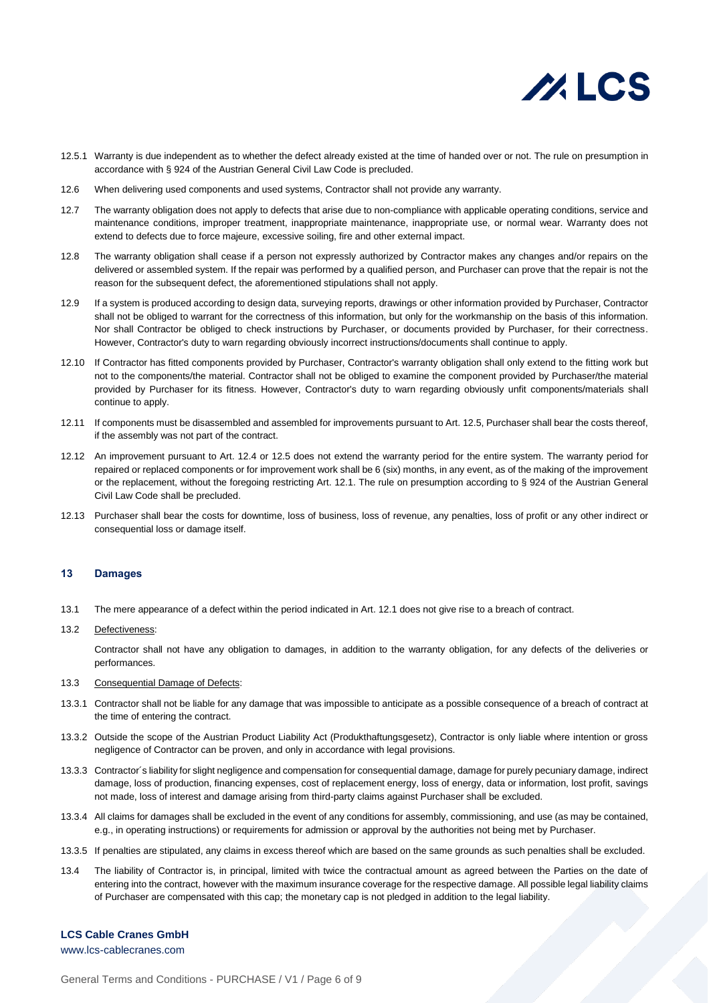

- 12.5.1 Warranty is due independent as to whether the defect already existed at the time of handed over or not. The rule on presumption in accordance with § 924 of the Austrian General Civil Law Code is precluded.
- 12.6 When delivering used components and used systems, Contractor shall not provide any warranty.
- 12.7 The warranty obligation does not apply to defects that arise due to non-compliance with applicable operating conditions, service and maintenance conditions, improper treatment, inappropriate maintenance, inappropriate use, or normal wear. Warranty does not extend to defects due to force majeure, excessive soiling, fire and other external impact.
- 12.8 The warranty obligation shall cease if a person not expressly authorized by Contractor makes any changes and/or repairs on the delivered or assembled system. If the repair was performed by a qualified person, and Purchaser can prove that the repair is not the reason for the subsequent defect, the aforementioned stipulations shall not apply.
- 12.9 If a system is produced according to design data, surveying reports, drawings or other information provided by Purchaser, Contractor shall not be obliged to warrant for the correctness of this information, but only for the workmanship on the basis of this information. Nor shall Contractor be obliged to check instructions by Purchaser, or documents provided by Purchaser, for their correctness. However, Contractor's duty to warn regarding obviously incorrect instructions/documents shall continue to apply.
- 12.10 If Contractor has fitted components provided by Purchaser, Contractor's warranty obligation shall only extend to the fitting work but not to the components/the material. Contractor shall not be obliged to examine the component provided by Purchaser/the material provided by Purchaser for its fitness. However, Contractor's duty to warn regarding obviously unfit components/materials shall continue to apply.
- 12.11 If components must be disassembled and assembled for improvements pursuant to Art. 12.5, Purchaser shall bear the costs thereof, if the assembly was not part of the contract.
- 12.12 An improvement pursuant to Art. 12.4 or 12.5 does not extend the warranty period for the entire system. The warranty period for repaired or replaced components or for improvement work shall be 6 (six) months, in any event, as of the making of the improvement or the replacement, without the foregoing restricting Art. 12.1. The rule on presumption according to § 924 of the Austrian General Civil Law Code shall be precluded.
- 12.13 Purchaser shall bear the costs for downtime, loss of business, loss of revenue, any penalties, loss of profit or any other indirect or consequential loss or damage itself.

#### **13 Damages**

- 13.1 The mere appearance of a defect within the period indicated in Art. 12.1 does not give rise to a breach of contract.
- 13.2 Defectiveness:

Contractor shall not have any obligation to damages, in addition to the warranty obligation, for any defects of the deliveries or performances.

- 13.3 Consequential Damage of Defects:
- 13.3.1 Contractor shall not be liable for any damage that was impossible to anticipate as a possible consequence of a breach of contract at the time of entering the contract.
- 13.3.2 Outside the scope of the Austrian Product Liability Act (Produkthaftungsgesetz), Contractor is only liable where intention or gross negligence of Contractor can be proven, and only in accordance with legal provisions.
- 13.3.3 Contractor´s liability for slight negligence and compensation for consequential damage, damage for purely pecuniary damage, indirect damage, loss of production, financing expenses, cost of replacement energy, loss of energy, data or information, lost profit, savings not made, loss of interest and damage arising from third-party claims against Purchaser shall be excluded.
- 13.3.4 All claims for damages shall be excluded in the event of any conditions for assembly, commissioning, and use (as may be contained, e.g., in operating instructions) or requirements for admission or approval by the authorities not being met by Purchaser.
- 13.3.5 If penalties are stipulated, any claims in excess thereof which are based on the same grounds as such penalties shall be excluded.
- 13.4 The liability of Contractor is, in principal, limited with twice the contractual amount as agreed between the Parties on the date of entering into the contract, however with the maximum insurance coverage for the respective damage. All possible legal liability claims of Purchaser are compensated with this cap; the monetary cap is not pledged in addition to the legal liability.

# **LCS Cable Cranes GmbH**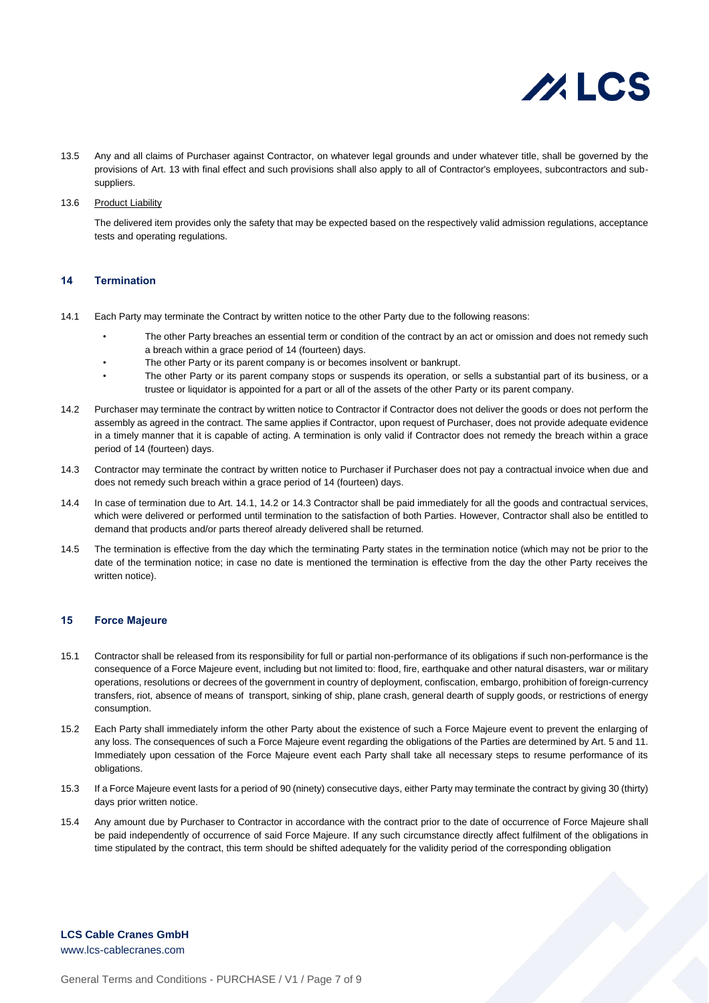

- 13.5 Any and all claims of Purchaser against Contractor, on whatever legal grounds and under whatever title, shall be governed by the provisions of Art. 13 with final effect and such provisions shall also apply to all of Contractor's employees, subcontractors and subsuppliers.
- 13.6 Product Liability

The delivered item provides only the safety that may be expected based on the respectively valid admission regulations, acceptance tests and operating regulations.

#### **14 Termination**

- 14.1 Each Party may terminate the Contract by written notice to the other Party due to the following reasons:
	- The other Party breaches an essential term or condition of the contract by an act or omission and does not remedy such a breach within a grace period of 14 (fourteen) days.
	- The other Party or its parent company is or becomes insolvent or bankrupt.
	- The other Party or its parent company stops or suspends its operation, or sells a substantial part of its business, or a trustee or liquidator is appointed for a part or all of the assets of the other Party or its parent company.
- 14.2 Purchaser may terminate the contract by written notice to Contractor if Contractor does not deliver the goods or does not perform the assembly as agreed in the contract. The same applies if Contractor, upon request of Purchaser, does not provide adequate evidence in a timely manner that it is capable of acting. A termination is only valid if Contractor does not remedy the breach within a grace period of 14 (fourteen) days.
- 14.3 Contractor may terminate the contract by written notice to Purchaser if Purchaser does not pay a contractual invoice when due and does not remedy such breach within a grace period of 14 (fourteen) days.
- 14.4 In case of termination due to Art. 14.1, 14.2 or 14.3 Contractor shall be paid immediately for all the goods and contractual services, which were delivered or performed until termination to the satisfaction of both Parties. However, Contractor shall also be entitled to demand that products and/or parts thereof already delivered shall be returned.
- 14.5 The termination is effective from the day which the terminating Party states in the termination notice (which may not be prior to the date of the termination notice; in case no date is mentioned the termination is effective from the day the other Party receives the written notice).

# **15 Force Majeure**

- 15.1 Contractor shall be released from its responsibility for full or partial non-performance of its obligations if such non-performance is the consequence of a Force Majeure event, including but not limited to: flood, fire, earthquake and other natural disasters, war or military operations, resolutions or decrees of the government in country of deployment, confiscation, embargo, prohibition of foreign-currency transfers, riot, absence of means of transport, sinking of ship, plane crash, general dearth of supply goods, or restrictions of energy consumption.
- 15.2 Each Party shall immediately inform the other Party about the existence of such a Force Majeure event to prevent the enlarging of any loss. The consequences of such a Force Majeure event regarding the obligations of the Parties are determined by Art. 5 and 11. Immediately upon cessation of the Force Majeure event each Party shall take all necessary steps to resume performance of its obligations.
- 15.3 If a Force Majeure event lasts for a period of 90 (ninety) consecutive days, either Party may terminate the contract by giving 30 (thirty) days prior written notice.
- 15.4 Any amount due by Purchaser to Contractor in accordance with the contract prior to the date of occurrence of Force Majeure shall be paid independently of occurrence of said Force Majeure. If any such circumstance directly affect fulfilment of the obligations in time stipulated by the contract, this term should be shifted adequately for the validity period of the corresponding obligation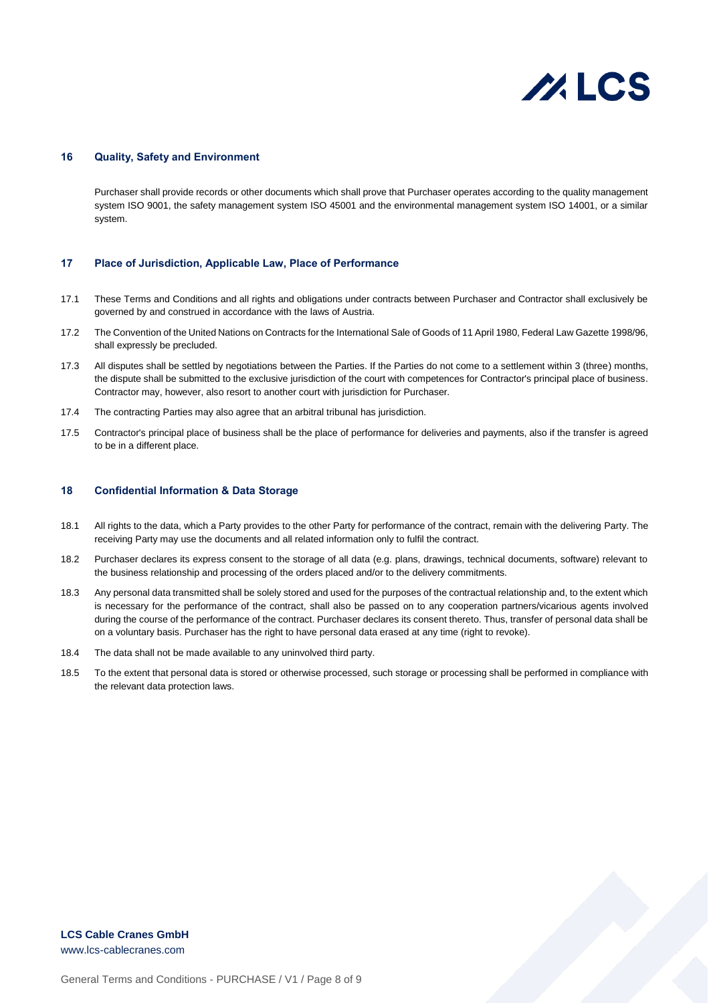

#### **16 Quality, Safety and Environment**

Purchaser shall provide records or other documents which shall prove that Purchaser operates according to the quality management system ISO 9001, the safety management system ISO 45001 and the environmental management system ISO 14001, or a similar system.

#### **17 Place of Jurisdiction, Applicable Law, Place of Performance**

- 17.1 These Terms and Conditions and all rights and obligations under contracts between Purchaser and Contractor shall exclusively be governed by and construed in accordance with the laws of Austria.
- 17.2 The Convention of the United Nations on Contracts for the International Sale of Goods of 11 April 1980, Federal Law Gazette 1998/96, shall expressly be precluded.
- 17.3 All disputes shall be settled by negotiations between the Parties. If the Parties do not come to a settlement within 3 (three) months, the dispute shall be submitted to the exclusive jurisdiction of the court with competences for Contractor's principal place of business. Contractor may, however, also resort to another court with jurisdiction for Purchaser.
- 17.4 The contracting Parties may also agree that an arbitral tribunal has jurisdiction.
- 17.5 Contractor's principal place of business shall be the place of performance for deliveries and payments, also if the transfer is agreed to be in a different place.

#### **18 Confidential Information & Data Storage**

- 18.1 All rights to the data, which a Party provides to the other Party for performance of the contract, remain with the delivering Party. The receiving Party may use the documents and all related information only to fulfil the contract.
- 18.2 Purchaser declares its express consent to the storage of all data (e.g. plans, drawings, technical documents, software) relevant to the business relationship and processing of the orders placed and/or to the delivery commitments.
- 18.3 Any personal data transmitted shall be solely stored and used for the purposes of the contractual relationship and, to the extent which is necessary for the performance of the contract, shall also be passed on to any cooperation partners/vicarious agents involved during the course of the performance of the contract. Purchaser declares its consent thereto. Thus, transfer of personal data shall be on a voluntary basis. Purchaser has the right to have personal data erased at any time (right to revoke).
- 18.4 The data shall not be made available to any uninvolved third party.
- 18.5 To the extent that personal data is stored or otherwise processed, such storage or processing shall be performed in compliance with the relevant data protection laws.